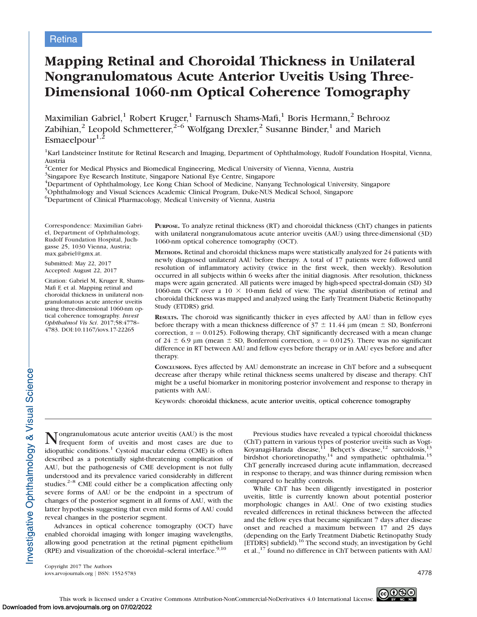# Mapping Retinal and Choroidal Thickness in Unilateral Nongranulomatous Acute Anterior Uveitis Using Three-Dimensional 1060-nm Optical Coherence Tomography

Maximilian Gabriel, $^1$  Robert Kruger, $^1$  Farnusch Shams-Mafi, $^1$  Boris Hermann, $^2$  Behrooz Zabihian,<sup>2</sup> Leopold Schmetterer,<sup>2–6</sup> Wolfgang Drexler,<sup>2</sup> Susanne Binder,<sup>1</sup> and Marieh Esmaeelpour $1,2$ 

<sup>1</sup>Karl Landsteiner Institute for Retinal Research and Imaging, Department of Ophthalmology, Rudolf Foundation Hospital, Vienna, Austria

<sup>2</sup>Center for Medical Physics and Biomedical Engineering, Medical University of Vienna, Vienna, Austria

<sup>3</sup>Singapore Eye Research Institute, Singapore National Eye Centre, Singapore

4 Department of Ophthalmology, Lee Kong Chian School of Medicine, Nanyang Technological University, Singapore

<sup>5</sup>Ophthalmology and Visual Sciences Academic Clinical Program, Duke-NUS Medical School, Singapore

6 Department of Clinical Pharmacology, Medical University of Vienna, Austria

Correspondence: Maximilian Gabriel, Department of Ophthalmology, Rudolf Foundation Hospital, Juchgasse 25, 1030 Vienna, Austria; max.gabriel@gmx.at.

Submitted: May 22, 2017 Accepted: August 22, 2017

Citation: Gabriel M, Kruger R, Shams-Mafi F, et al. Mapping retinal and choroidal thickness in unilateral nongranulomatous acute anterior uveitis using three-dimensional 1060-nm optical coherence tomography. Invest Ophthalmol Vis Sci. 2017;58:4778– 4783. DOI:10.1167/iovs.17-22265

PURPOSE. To analyze retinal thickness (RT) and choroidal thickness (ChT) changes in patients with unilateral nongranulomatous acute anterior uveitis (AAU) using three-dimensional (3D) 1060-nm optical coherence tomography (OCT).

METHODS. Retinal and choroidal thickness maps were statistically analyzed for 24 patients with newly diagnosed unilateral AAU before therapy. A total of 17 patients were followed until resolution of inflammatory activity (twice in the first week, then weekly). Resolution occurred in all subjects within 6 weeks after the initial diagnosis. After resolution, thickness maps were again generated. All patients were imaged by high-speed spectral-domain (SD) 3D 1060-nm OCT over a  $10 \times 10$ -mm field of view. The spatial distribution of retinal and choroidal thickness was mapped and analyzed using the Early Treatment Diabetic Retinopathy Study (ETDRS) grid.

RESULTS. The choroid was significantly thicker in eyes affected by AAU than in fellow eyes before therapy with a mean thickness difference of  $37 \pm 11.44$  µm (mean  $\pm$  SD, Bonferroni correction,  $\alpha = 0.0125$ ). Following therapy, ChT significantly decreased with a mean change of 24  $\pm$  6.9 µm (mean  $\pm$  SD, Bonferroni correction,  $\alpha$  = 0.0125). There was no significant difference in RT between AAU and fellow eyes before therapy or in AAU eyes before and after therapy.

CONCLUSIONS. Eyes affected by AAU demonstrate an increase in ChT before and a subsequent decrease after therapy while retinal thickness seems unaltered by disease and therapy. ChT might be a useful biomarker in monitoring posterior involvement and response to therapy in patients with AAU.

Keywords: choroidal thickness, acute anterior uveitis, optical coherence tomography

nvestigative Ophthalmology & Visual Science

Nongranulomatous acute anterior uveitis (AAU) is the most frequent form of uveitis and most cases are due to idiopathic conditions.<sup>1</sup> Cystoid macular edema (CME) is often described as a potentially sight-threatening complication of AAU, but the pathogenesis of CME development is not fully understood and its prevalence varied considerably in different studies.<sup>2-8</sup> CME could either be a complication affecting only severe forms of AAU or be the endpoint in a spectrum of changes of the posterior segment in all forms of AAU, with the latter hypothesis suggesting that even mild forms of AAU could reveal changes in the posterior segment.

Advances in optical coherence tomography (OCT) have enabled choroidal imaging with longer imaging wavelengths, allowing good penetration at the retinal pigment epithelium (RPE) and visualization of the choroidal-scleral interface. $9,10$ 

Copyright 2017 The Authors iovs.arvojournals.org j ISSN: 1552-5783 4778

Previous studies have revealed a typical choroidal thickness (ChT) pattern in various types of posterior uveitis such as Vogt-<br>Koyanagi-Harada disease, $^{11}$  Behçet's disease, $^{12}$  sarcoidosis, $^{13}$ birdshot chorioretinopathy,<sup>14</sup> and sympathetic ophthalmia.<sup>15</sup> ChT generally increased during acute inflammation, decreased in response to therapy, and was thinner during remission when compared to healthy controls.

While ChT has been diligently investigated in posterior uveitis, little is currently known about potential posterior morphologic changes in AAU. One of two existing studies revealed differences in retinal thickness between the affected and the fellow eyes that became significant 7 days after disease onset and reached a maximum between 17 and 25 days (depending on the Early Treatment Diabetic Retinopathy Study [ETDRS] subfield).<sup>16</sup> The second study, an investigation by Gehl et al.,<sup>17</sup> found no difference in ChT between patients with AAU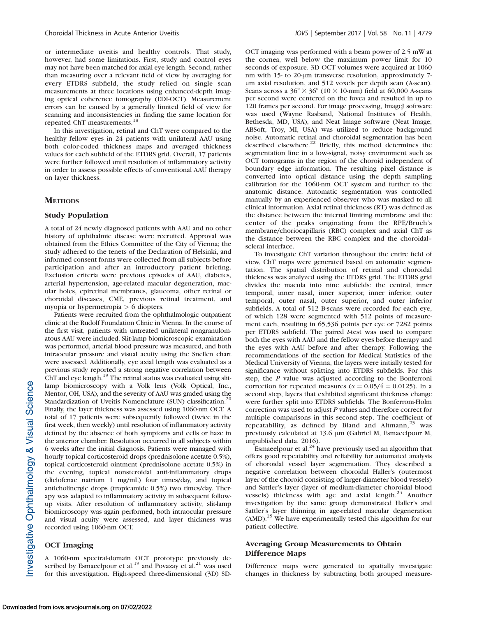or intermediate uveitis and healthy controls. That study, however, had some limitations. First, study and control eyes may not have been matched for axial eye length. Second, rather than measuring over a relevant field of view by averaging for every ETDRS subfield, the study relied on single scan measurements at three locations using enhanced-depth imaging optical coherence tomography (EDI-OCT). Measurement errors can be caused by a generally limited field of view for scanning and inconsistencies in finding the same location for repeated ChT measurements.<sup>18</sup>

In this investigation, retinal and ChT were compared to the healthy fellow eyes in 24 patients with unilateral AAU using both color-coded thickness maps and averaged thickness values for each subfield of the ETDRS grid. Overall, 17 patients were further followed until resolution of inflammatory activity in order to assess possible effects of conventional AAU therapy on layer thickness.

## **METHODS**

#### Study Population

A total of 24 newly diagnosed patients with AAU and no other history of ophthalmic disease were recruited. Approval was obtained from the Ethics Committee of the City of Vienna; the study adhered to the tenets of the Declaration of Helsinki, and informed consent forms were collected from all subjects before participation and after an introductory patient briefing. Exclusion criteria were previous episodes of AAU, diabetes, arterial hypertension, age-related macular degeneration, macular holes, epiretinal membranes, glaucoma, other retinal or choroidal diseases, CME, previous retinal treatment, and myopia or hypermetropia > 6 diopters.

Patients were recruited from the ophthalmologic outpatient clinic at the Rudolf Foundation Clinic in Vienna. In the course of the first visit, patients with untreated unilateral nongranulomatous AAU were included. Slit-lamp biomicroscopic examination was performed, arterial blood pressure was measured, and both intraocular pressure and visual acuity using the Snellen chart were assessed. Additionally, eye axial length was evaluated as a previous study reported a strong negative correlation between ChT and eye length.19 The retinal status was evaluated using slitlamp biomicroscopy with a Volk lens (Volk Optical, Inc., Mentor, OH, USA), and the severity of AAU was graded using the Standardization of Uveitis Nomenclature (SUN) classification.<sup>20</sup> Finally, the layer thickness was assessed using 1060-nm OCT. A total of 17 patients were subsequently followed (twice in the first week, then weekly) until resolution of inflammatory activity defined by the absence of both symptoms and cells or haze in the anterior chamber. Resolution occurred in all subjects within 6 weeks after the initial diagnosis. Patients were managed with hourly topical corticosteroid drops (prednisolone acetate 0.5%), topical corticosteroid ointment (prednisolone acetate 0.5%) in the evening, topical nonsteroidal anti-inflammatory drops (diclofenac natrium 1 mg/mL) four times/day, and topical anticholinergic drops (tropicamide 0.5%) two times/day. Therapy was adapted to inflammatory activity in subsequent followup visits. After resolution of inflammatory activity, slit-lamp biomicroscopy was again performed, both intraocular pressure and visual acuity were assessed, and layer thickness was recorded using 1060-nm OCT.

# OCT Imaging

A 1060-nm spectral-domain OCT prototype previously described by Esmaeelpour et al.<sup>19</sup> and Povazay et al.<sup>21</sup> was used for this investigation. High-speed three-dimensional (3D) SD- OCT imaging was performed with a beam power of 2.5 mW at the cornea, well below the maximum power limit for 10 seconds of exposure. 3D OCT volumes were acquired at 1060 nm with 15- to 20-µm transverse resolution, approximately 7lm axial resolution, and 512 voxels per depth scan (A-scan). Scans across a  $36^{\circ} \times 36^{\circ}$  (10  $\times$  10-mm) field at 60,000 A-scans per second were centered on the fovea and resulted in up to 120 frames per second. For image processing, ImageJ software was used (Wayne Rasband, National Institutes of Health, Bethesda, MD, USA), and Neat Image software (Neat Image; ABSoft, Troy, MI, USA) was utilized to reduce background noise. Automatic retinal and choroidal segmentation has been described elsewhere.<sup>22</sup> Briefly, this method determines the segmentation line in a low-signal, noisy environment such as OCT tomograms in the region of the choroid independent of boundary edge information. The resulting pixel distance is converted into optical distance using the depth sampling calibration for the 1060-nm OCT system and further to the anatomic distance. Automatic segmentation was controlled manually by an experienced observer who was masked to all clinical information. Axial retinal thickness (RT) was defined as the distance between the internal limiting membrane and the center of the peaks originating from the RPE/Bruch's membrane/choriocapillaris (RBC) complex and axial ChT as the distance between the RBC complex and the choroidal– scleral interface.

To investigate ChT variation throughout the entire field of view, ChT maps were generated based on automatic segmentation. The spatial distribution of retinal and choroidal thickness was analyzed using the ETDRS grid. The ETDRS grid divides the macula into nine subfields: the central, inner temporal, inner nasal, inner superior, inner inferior, outer temporal, outer nasal, outer superior, and outer inferior subfields. A total of 512 B-scans were recorded for each eye, of which 128 were segmented with 512 points of measurement each, resulting in 65,536 points per eye or 7282 points per ETDRS subfield. The paired t-test was used to compare both the eyes with AAU and the fellow eyes before therapy and the eyes with AAU before and after therapy. Following the recommendations of the section for Medical Statistics of the Medical University of Vienna, the layers were initially tested for significance without splitting into ETDRS subfields. For this step, the P value was adjusted according to the Bonferroni correction for repeated measures ( $\alpha = 0.05/4 = 0.0125$ ). In a second step, layers that exhibited significant thickness change were further split into ETDRS subfields. The Bonferroni-Holm correction was used to adjust P values and therefore correct for multiple comparisons in this second step. The coefficient of repeatability, as defined by Bland and Altmann,  $23$  was previously calculated at 13.6 µm (Gabriel M, Esmaeelpour M, unpublished data, 2016).

Esmaeelpour et al. $^{24}$  have previously used an algorithm that offers good repeatability and reliability for automated analysis of choroidal vessel layer segmentation. They described a negative correlation between choroidal Haller's (outermost layer of the choroid consisting of larger-diameter blood vessels) and Sattler's layer (layer of medium-diameter choroidal blood vessels) thickness with age and axial length. $24$  Another investigation by the same group demonstrated Haller's and Sattler's layer thinning in age-related macular degeneration  $(AMD).$ <sup>25</sup> We have experimentally tested this algorithm for our patient collective.

## Averaging Group Measurements to Obtain Difference Maps

Difference maps were generated to spatially investigate changes in thickness by subtracting both grouped measure-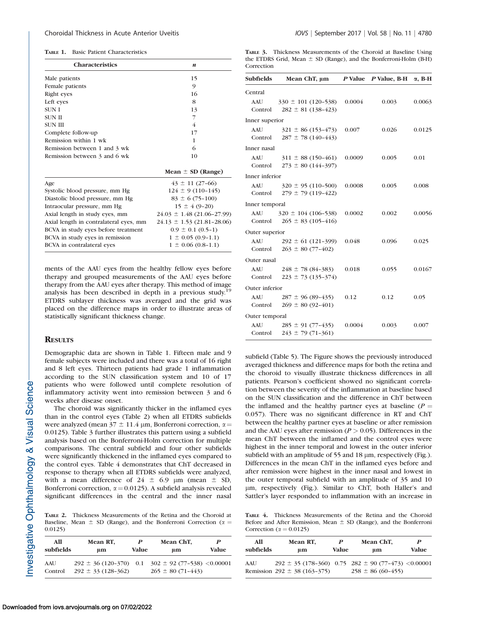#### Choroidal Thickness in Acute Anterior Uveitis **IOVS** j September 2017 | Vol. 58 | No. 11 | 4780

| <b>TABLE 1.</b> |  |  | <b>Basic Patient Characteristics</b> |
|-----------------|--|--|--------------------------------------|
|-----------------|--|--|--------------------------------------|

| <b>Characteristics</b>                 | $\boldsymbol{n}$               |
|----------------------------------------|--------------------------------|
| Male patients                          | 15                             |
| Female patients                        | 9                              |
| Right eyes                             | 16                             |
| Left eyes                              | 8                              |
| SUN I                                  | 13                             |
| SUN II                                 | $\overline{7}$                 |
| <b>SUN III</b>                         | $\overline{4}$                 |
| Complete follow-up                     | 17                             |
| Remission within 1 wk                  | 1                              |
| Remission between 1 and 3 wk           | 6                              |
| Remission between 3 and 6 wk           | 10                             |
|                                        | Mean $\pm$ SD (Range)          |
| Age                                    | $43 \pm 11$ (27-66)            |
| Systolic blood pressure, mm Hg         | $124 \pm 9(110-145)$           |
| Diastolic blood pressure, mm Hg        | $83 \pm 6 (75 - 100)$          |
| Intraocular pressure, mm Hg            | $15 \pm 4 (9 - 20)$            |
| Axial length in study eyes, mm         | $24.03 \pm 1.48$ (21.06-27.99) |
| Axial length in contralateral eyes, mm | $24.13 \pm 1.53$ (21.81-28.06) |
| BCVA in study eyes before treatment    | $0.9 \pm 0.1$ (0.5-1)          |
| BCVA in study eyes in remission        | $1 \pm 0.05$ (0.9-1.1)         |
| BCVA in contralateral eyes             | $1 \pm 0.06$ (0.8-1.1)         |

ments of the AAU eyes from the healthy fellow eyes before therapy and grouped measurements of the AAU eyes before therapy from the AAU eyes after therapy. This method of image analysis has been described in depth in a previous study. ETDRS sublayer thickness was averaged and the grid was placed on the difference maps in order to illustrate areas of statistically significant thickness change.

#### **RESULTS**

Demographic data are shown in Table 1. Fifteen male and 9 female subjects were included and there was a total of 16 right and 8 left eyes. Thirteen patients had grade 1 inflammation according to the SUN classification system and 10 of 17 patients who were followed until complete resolution of inflammatory activity went into remission between 3 and 6 weeks after disease onset.

The choroid was significantly thicker in the inflamed eyes than in the control eyes (Table 2) when all ETDRS subfields were analyzed (mean  $37 \pm 11.4$  µm, Bonferroni correction,  $\alpha =$ 0.0125). Table 3 further illustrates this pattern using a subfield analysis based on the Bonferroni-Holm correction for multiple comparisons. The central subfield and four other subfields were significantly thickened in the inflamed eyes compared to the control eyes. Table 4 demonstrates that ChT decreased in response to therapy when all ETDRS subfields were analyzed, with a mean difference of  $24 \pm 6.9$  µm (mean  $\pm$  SD, Bonferroni correction,  $\alpha = 0.0125$ ). A subfield analysis revealed significant differences in the central and the inner nasal

TABLE 2. Thickness Measurements of the Retina and the Choroid at Baseline, Mean  $\pm$  SD (Range), and the Bonferroni Correction ( $\alpha$  = 0.0125)

| All<br>subfields | Mean RT,<br>um               | P<br>Value | Mean ChT,<br>um                | P<br>Value |
|------------------|------------------------------|------------|--------------------------------|------------|
| AAU              | $292 \pm 36 (120 - 370)$ 0.1 |            | $302 \pm 92$ (77-538) <0.00001 |            |
| Control          | $292 \pm 33$ (128-362)       |            | $265 \pm 80 (71 - 443)$        |            |

TABLE 3. Thickness Measurements of the Choroid at Baseline Using the ETDRS Grid, Mean  $\pm$  SD (Range), and the Bonferroni-Holm (B-H) Correction

| Subfields      | Mean ChT, µm                     |        | P Value P Value, B-H $\alpha$ , B-H |        |
|----------------|----------------------------------|--------|-------------------------------------|--------|
| Central        |                                  |        |                                     |        |
|                | AAU $330 \pm 101$ (120-538)      | 0.0004 | 0.003                               | 0.0063 |
|                | Control $282 \pm 81 (138 - 423)$ |        |                                     |        |
| Inner superior |                                  |        |                                     |        |
|                | AAU $321 \pm 86 (153 - 473)$     | 0.007  | 0.026                               | 0.0125 |
|                | Control $287 \pm 78 (140-443)$   |        |                                     |        |
| Inner nasal    |                                  |        |                                     |        |
| AAU            | $311 \pm 88(150-461)$            | 0.0009 | 0.005                               | 0.01   |
|                | Control $273 \pm 80 (144 - 397)$ |        |                                     |        |
| Inner inferior |                                  |        |                                     |        |
|                | AAU $320 \pm 95 (110-500)$       | 0.0008 | 0.005                               | 0.008  |
|                | Control $279 \pm 79$ (119-422)   |        |                                     |        |
| Inner temporal |                                  |        |                                     |        |
| AAU            | $320 \pm 104$ (106-538)          | 0.0002 | 0.002                               | 0.0056 |
|                | Control $265 \pm 83$ (105-416)   |        |                                     |        |
| Outer superior |                                  |        |                                     |        |
|                | AAU $292 \pm 61 (121 - 399)$     | 0.048  | 0.096                               | 0.025  |
|                | Control $263 \pm 80 (77 - 402)$  |        |                                     |        |
| Outer nasal    |                                  |        |                                     |        |
|                | AAU $248 \pm 78 (84 - 383)$      | 0.018  | 0.055                               | 0.0167 |
|                | Control $223 \pm 73$ (135-374)   |        |                                     |        |
| Outer inferior |                                  |        |                                     |        |
|                | AAU $287 \pm 96 (89-435)$        | 0.12   | 0.12                                | 0.05   |
|                | Control $269 \pm 80 (92 - 401)$  |        |                                     |        |
| Outer temporal |                                  |        |                                     |        |
| AAU            | $285 \pm 91 (77 - 435)$          | 0.0004 | 0.003                               | 0.007  |
|                | Control $243 \pm 79 (71 - 361)$  |        |                                     |        |

subfield (Table 5). The Figure shows the previously introduced averaged thickness and difference maps for both the retina and the choroid to visually illustrate thickness differences in all patients. Pearson's coefficient showed no significant correlation between the severity of the inflammation at baseline based on the SUN classification and the difference in ChT between the inflamed and the healthy partner eyes at baseline ( $P =$ 0.057). There was no significant difference in RT and ChT between the healthy partner eyes at baseline or after remission and the AAU eyes after remission ( $P > 0.05$ ). Differences in the mean ChT between the inflamed and the control eyes were highest in the inner temporal and lowest in the outer inferior subfield with an amplitude of 55 and 18  $\mu$ m, respectively (Fig.). Differences in the mean ChT in the inflamed eyes before and after remission were highest in the inner nasal and lowest in the outer temporal subfield with an amplitude of 35 and 10 lm, respectively (Fig.). Similar to ChT, both Haller's and Sattler's layer responded to inflammation with an increase in

TABLE 4. Thickness Measurements of the Retina and the Choroid Before and After Remission, Mean  $\pm$  SD (Range), and the Bonferroni Correction ( $\alpha = 0.0125$ )

| A11       | Mean RT,                                                                                            | P     | Mean ChT,            | P     |
|-----------|-----------------------------------------------------------------------------------------------------|-------|----------------------|-------|
| subfields | um                                                                                                  | Value | um                   | Value |
| AAU       | $292 \pm 35 (178 - 360)$ 0.75 $282 \pm 90 (77 - 473) < 0.00001$<br>Remission 292 $\pm$ 38 (163-375) |       | $258 \pm 86(60-455)$ |       |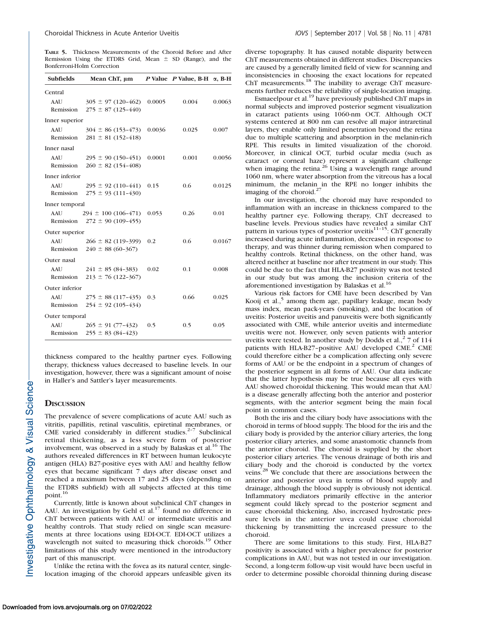TABLE 5. Thickness Measurements of the Choroid Before and After Remission Using the ETDRS Grid, Mean  $\pm$  SD (Range), and the Bonferroni-Holm Correction

| <b>Subfields</b> | Mean ChT, µm                       |       | P Value P Value, B-H $\alpha$ , B-H |        |
|------------------|------------------------------------|-------|-------------------------------------|--------|
| Central          |                                    |       |                                     |        |
| AAU              | $305 \pm 97 (120 - 462)$ 0.0005    |       | 0.004                               | 0.0063 |
| Remission        | $275 \pm 87 (125 - 440)$           |       |                                     |        |
| Inner superior   |                                    |       |                                     |        |
| AAU              | $304 \pm 86 (153 - 473)$ 0.0036    |       | 0.025                               | 0.007  |
|                  | Remission $281 \pm 81 (152 - 418)$ |       |                                     |        |
| Inner nasal      |                                    |       |                                     |        |
| AAU              | $295 \pm 90 (150 - 451)$ 0.0001    |       | 0.001                               | 0.0056 |
| Remission        | $260 \pm 82$ (154-408)             |       |                                     |        |
| Inner inferior   |                                    |       |                                     |        |
| AAU              | $295 \pm 92$ (110-441)             | 0.15  | $0.6^{\circ}$                       | 0.0125 |
| Remission        | $275 \pm 93$ (111-430)             |       |                                     |        |
| Inner temporal   |                                    |       |                                     |        |
| AAU              | $294 \pm 100(106-471)$             | 0.053 | 0.26                                | 0.01   |
|                  | Remission $272 \pm 90 (109-455)$   |       |                                     |        |
| Outer superior   |                                    |       |                                     |        |
| AAU              | $266 \pm 82$ (119-399)             | 0.2   | 0.6                                 | 0.0167 |
|                  | Remission $240 \pm 88 (60 - 367)$  |       |                                     |        |
| Outer nasal      |                                    |       |                                     |        |
| AAU              | $241 \pm 85 (84 - 383)$            | 0.02  | 0.1                                 | 0.008  |
|                  | Remission $213 \pm 76 (122 - 367)$ |       |                                     |        |
| Outer inferior   |                                    |       |                                     |        |
| AAU              | $275 \pm 88$ (117-435)             | 0.3   | 0.66                                | 0.025  |
| Remission        | $254 \pm 92 (105 - 434)$           |       |                                     |        |
| Outer temporal   |                                    |       |                                     |        |
| AAU              | $265 \pm 91 (77 - 432)$            | 0.5   | 0.5                                 | 0.05   |
|                  | Remission $255 \pm 83 (84 - 423)$  |       |                                     |        |

thickness compared to the healthy partner eyes. Following therapy, thickness values decreased to baseline levels. In our investigation, however, there was a significant amount of noise in Haller's and Sattler's layer measurements.

## **DISCUSSION**

The prevalence of severe complications of acute AAU such as vitritis, papillitis, retinal vasculitis, epiretinal membranes, or CME varied considerably in different studies.<sup>2-7</sup> Subclinical retinal thickening, as a less severe form of posterior involvement, was observed in a study by Balaskas et al.<sup>16</sup> The authors revealed differences in RT between human leukocyte antigen (HLA) B27-positive eyes with AAU and healthy fellow eyes that became significant 7 days after disease onset and reached a maximum between 17 and 25 days (depending on the ETDRS subfield) with all subjects affected at this time point.<sup>16</sup>

Currently, little is known about subclinical ChT changes in AAU. An investigation by Gehl et al.<sup>17</sup> found no difference in ChT between patients with AAU or intermediate uveitis and healthy controls. That study relied on single scan measurements at three locations using EDI-OCT. EDI-OCT utilizes a wavelength not suited to measuring thick choroids.<sup>19</sup> Other limitations of this study were mentioned in the introductory part of this manuscript.

Unlike the retina with the fovea as its natural center, singlelocation imaging of the choroid appears unfeasible given its diverse topography. It has caused notable disparity between ChT measurements obtained in different studies. Discrepancies are caused by a generally limited field of view for scanning and inconsistencies in choosing the exact locations for repeated ChT measurements.<sup>18</sup> The inability to average ChT measurements further reduces the reliability of single-location imaging.

Esmaeelpour et al.<sup>19</sup> have previously published ChT maps in normal subjects and improved posterior segment visualization in cataract patients using 1060-nm OCT. Although OCT systems centered at 800 nm can resolve all major intraretinal layers, they enable only limited penetration beyond the retina due to multiple scattering and absorption in the melanin-rich RPE. This results in limited visualization of the choroid. Moreover, in clinical OCT, turbid ocular media (such as cataract or corneal haze) represent a significant challenge when imaging the retina.<sup>26</sup> Using a wavelength range around 1060 nm, where water absorption from the vitreous has a local minimum, the melanin in the RPE no longer inhibits the imaging of the choroid.<sup>27</sup>

In our investigation, the choroid may have responded to inflammation with an increase in thickness compared to the healthy partner eye. Following therapy, ChT decreased to baseline levels. Previous studies have revealed a similar ChT pattern in various types of posterior uveitis $11-15$ : ChT generally increased during acute inflammation, decreased in response to therapy, and was thinner during remission when compared to healthy controls. Retinal thickness, on the other hand, was altered neither at baseline nor after treatment in our study. This could be due to the fact that HLA-B27 positivity was not tested in our study but was among the inclusion criteria of the aforementioned investigation by Balaskas et al.<sup>16</sup>

Various risk factors for CME have been described by Van Kooij et al.,<sup>5</sup> among them age, papillary leakage, mean body mass index, mean pack-years (smoking), and the location of uveitis: Posterior uveitis and panuveitis were both significantly associated with CME, while anterior uveitis and intermediate uveitis were not. However, only seven patients with anterior uveitis were tested. In another study by Dodds et al.,<sup>2</sup> 7 of 114 patients with HLA-B27-positive AAU developed  $CME$ <sup>2</sup> CME could therefore either be a complication affecting only severe forms of AAU or be the endpoint in a spectrum of changes of the posterior segment in all forms of AAU. Our data indicate that the latter hypothesis may be true because all eyes with AAU showed choroidal thickening. This would mean that AAU is a disease generally affecting both the anterior and posterior segments, with the anterior segment being the main focal point in common cases.

Both the iris and the ciliary body have associations with the choroid in terms of blood supply. The blood for the iris and the ciliary body is provided by the anterior ciliary arteries, the long posterior ciliary arteries, and some anastomotic channels from the anterior choroid. The choroid is supplied by the short posterior ciliary arteries. The venous drainage of both iris and ciliary body and the choroid is conducted by the vortex veins.<sup>28</sup> We conclude that there are associations between the anterior and posterior uvea in terms of blood supply and drainage, although the blood supply is obviously not identical. Inflammatory mediators primarily effective in the anterior segment could likely spread to the posterior segment and cause choroidal thickening. Also, increased hydrostatic pressure levels in the anterior uvea could cause choroidal thickening by transmitting the increased pressure to the choroid.

There are some limitations to this study. First, HLA-B27 positivity is associated with a higher prevalence for posterior complications in AAU, but was not tested in our investigation. Second, a long-term follow-up visit would have been useful in order to determine possible choroidal thinning during disease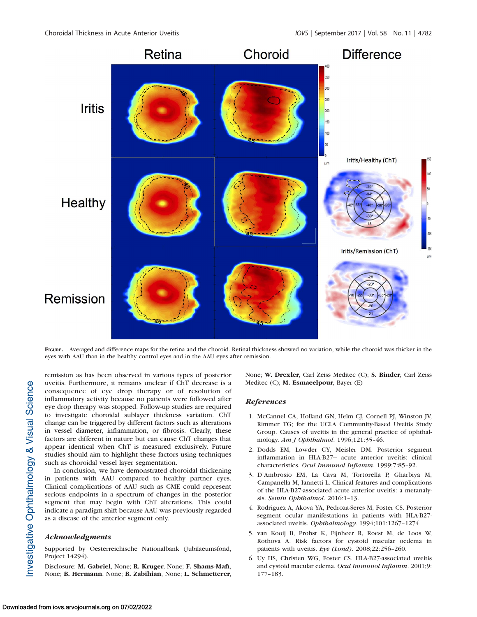

FIGURE. Averaged and difference maps for the retina and the choroid. Retinal thickness showed no variation, while the choroid was thicker in the eyes with AAU than in the healthy control eyes and in the AAU eyes after remission.

remission as has been observed in various types of posterior uveitis. Furthermore, it remains unclear if ChT decrease is a consequence of eye drop therapy or of resolution of inflammatory activity because no patients were followed after eye drop therapy was stopped. Follow-up studies are required to investigate choroidal sublayer thickness variation. ChT change can be triggered by different factors such as alterations in vessel diameter, inflammation, or fibrosis. Clearly, these factors are different in nature but can cause ChT changes that appear identical when ChT is measured exclusively. Future studies should aim to highlight these factors using techniques such as choroidal vessel layer segmentation.

In conclusion, we have demonstrated choroidal thickening in patients with AAU compared to healthy partner eyes. Clinical complications of AAU such as CME could represent serious endpoints in a spectrum of changes in the posterior segment that may begin with ChT alterations. This could indicate a paradigm shift because AAU was previously regarded as a disease of the anterior segment only.

### Acknowledgments

Supported by Oesterreichische Nationalbank (Jubilaeumsfond, Project 14294).

Disclosure: M. Gabriel, None; R. Kruger, None; F. Shams-Mafi, None; B. Hermann, None; B. Zabihian, None; L. Schmetterer, None; W. Drexler, Carl Zeiss Meditec (C); S. Binder, Carl Zeiss Meditec (C); M. Esmaeelpour, Bayer (E)

## **References**

- 1. McCannel CA, Holland GN, Helm CJ, Cornell PJ, Winston JV, Rimmer TG; for the UCLA Community-Based Uveitis Study Group. Causes of uveitis in the general practice of ophthalmology. Am J Ophthalmol. 1996;121:35–46.
- 2. Dodds EM, Lowder CY, Meisler DM. Posterior segment inflammation in HLA-B27+ acute anterior uveitis: clinical characteristics. Ocul Immunol Inflamm. 1999;7:85–92.
- 3. D'Ambrosio EM, La Cava M, Tortorella P, Gharbiya M, Campanella M, Iannetti L. Clinical features and complications of the HLA-B27-associated acute anterior uveitis: a metanalysis. Semin Ophthalmol. 2016:1–13.
- 4. Rodriguez A, Akova YA, Pedroza-Seres M, Foster CS. Posterior segment ocular manifestations in patients with HLA-B27 associated uveitis. Ophthalmology. 1994;101:1267–1274.
- 5. van Kooij B, Probst K, Fijnheer R, Roest M, de Loos W, Rothova A. Risk factors for cystoid macular oedema in patients with uveitis. Eye (Lond). 2008;22:256-260.
- 6. Uy HS, Christen WG, Foster CS. HLA-B27-associated uveitis and cystoid macular edema. Ocul Immunol Inflamm. 2001;9: 177–183.